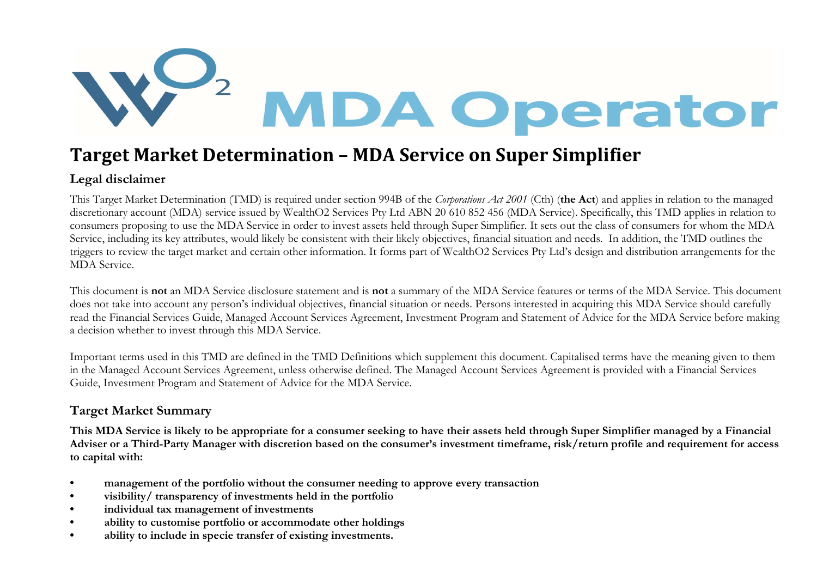

## Target Market Determination – MDA Service on Super Simplifier

## Legal disclaimer

This Target Market Determination (TMD) is required under section 994B of the Corporations Act 2001 (Cth) (the Act) and applies in relation to the managed discretionary account (MDA) service issued by WealthO2 Services Pty Ltd ABN 20 610 852 456 (MDA Service). Specifically, this TMD applies in relation to consumers proposing to use the MDA Service in order to invest assets held through Super Simplifier. It sets out the class of consumers for whom the MDA Service, including its key attributes, would likely be consistent with their likely objectives, financial situation and needs. In addition, the TMD outlines the triggers to review the target market and certain other information. It forms part of WealthO2 Services Pty Ltd's design and distribution arrangements for the MDA Service.

This document is not an MDA Service disclosure statement and is not a summary of the MDA Service features or terms of the MDA Service. This document does not take into account any person's individual objectives, financial situation or needs. Persons interested in acquiring this MDA Service should carefully read the Financial Services Guide, Managed Account Services Agreement, Investment Program and Statement of Advice for the MDA Service before making a decision whether to invest through this MDA Service.

Important terms used in this TMD are defined in the TMD Definitions which supplement this document. Capitalised terms have the meaning given to them in the Managed Account Services Agreement, unless otherwise defined. The Managed Account Services Agreement is provided with a Financial Services Guide, Investment Program and Statement of Advice for the MDA Service.

## Target Market Summary

This MDA Service is likely to be appropriate for a consumer seeking to have their assets held through Super Simplifier managed by a Financial Adviser or a Third-Party Manager with discretion based on the consumer's investment timeframe, risk/return profile and requirement for access to capital with:

- management of the portfolio without the consumer needing to approve every transaction
- visibility/ transparency of investments held in the portfolio
- individual tax management of investments
- ability to customise portfolio or accommodate other holdings
- ability to include in specie transfer of existing investments.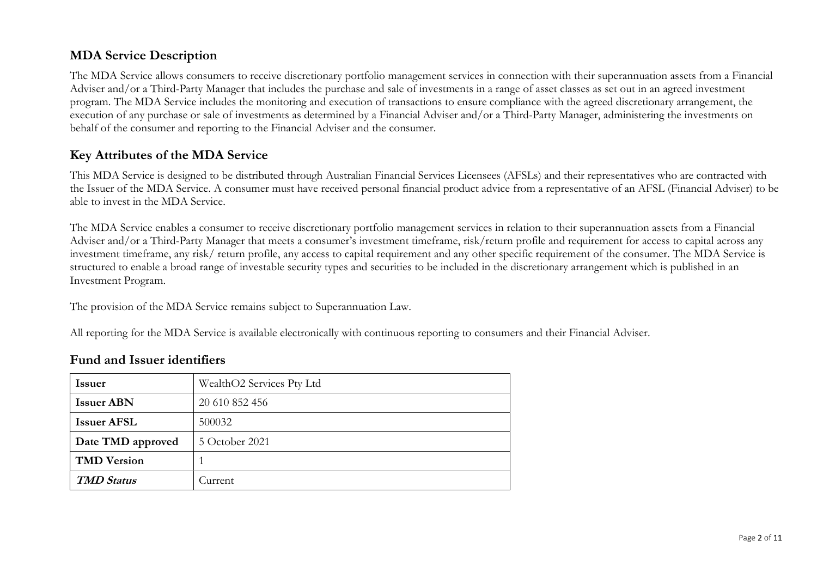## MDA Service Description

The MDA Service allows consumers to receive discretionary portfolio management services in connection with their superannuation assets from a Financial Adviser and/or a Third-Party Manager that includes the purchase and sale of investments in a range of asset classes as set out in an agreed investment program. The MDA Service includes the monitoring and execution of transactions to ensure compliance with the agreed discretionary arrangement, the execution of any purchase or sale of investments as determined by a Financial Adviser and/or a Third-Party Manager, administering the investments on behalf of the consumer and reporting to the Financial Adviser and the consumer.

## Key Attributes of the MDA Service

This MDA Service is designed to be distributed through Australian Financial Services Licensees (AFSLs) and their representatives who are contracted with the Issuer of the MDA Service. A consumer must have received personal financial product advice from a representative of an AFSL (Financial Adviser) to be able to invest in the MDA Service.

The MDA Service enables a consumer to receive discretionary portfolio management services in relation to their superannuation assets from a Financial Adviser and/or a Third-Party Manager that meets a consumer's investment timeframe, risk/return profile and requirement for access to capital across any investment timeframe, any risk/ return profile, any access to capital requirement and any other specific requirement of the consumer. The MDA Service is structured to enable a broad range of investable security types and securities to be included in the discretionary arrangement which is published in an Investment Program.

The provision of the MDA Service remains subject to Superannuation Law.

All reporting for the MDA Service is available electronically with continuous reporting to consumers and their Financial Adviser.

## Fund and Issuer identifiers

| <b>Issuer</b>      | WealthO2 Services Pty Ltd |
|--------------------|---------------------------|
| <b>Issuer ABN</b>  | 20 610 852 456            |
| <b>Issuer AFSL</b> | 500032                    |
| Date TMD approved  | 5 October 2021            |
| <b>TMD</b> Version |                           |
| <b>TMD Status</b>  | Current                   |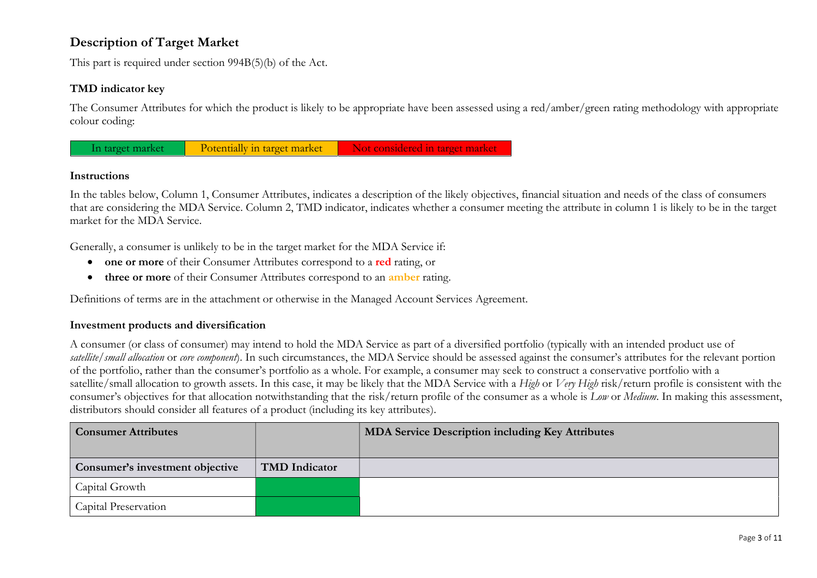## Description of Target Market

This part is required under section 994B(5)(b) of the Act.

#### TMD indicator key

The Consumer Attributes for which the product is likely to be appropriate have been assessed using a red/amber/green rating methodology with appropriate colour coding:



#### Instructions

In the tables below, Column 1, Consumer Attributes, indicates a description of the likely objectives, financial situation and needs of the class of consumers that are considering the MDA Service. Column 2, TMD indicator, indicates whether a consumer meeting the attribute in column 1 is likely to be in the target market for the MDA Service.

Generally, a consumer is unlikely to be in the target market for the MDA Service if:

- one or more of their Consumer Attributes correspond to a red rating, or
- three or more of their Consumer Attributes correspond to an amber rating.

Definitions of terms are in the attachment or otherwise in the Managed Account Services Agreement.

#### Investment products and diversification

A consumer (or class of consumer) may intend to hold the MDA Service as part of a diversified portfolio (typically with an intended product use of satellite/small allocation or core component). In such circumstances, the MDA Service should be assessed against the consumer's attributes for the relevant portion of the portfolio, rather than the consumer's portfolio as a whole. For example, a consumer may seek to construct a conservative portfolio with a satellite/small allocation to growth assets. In this case, it may be likely that the MDA Service with a High or Very High risk/return profile is consistent with the consumer's objectives for that allocation notwithstanding that the risk/return profile of the consumer as a whole is Low or Medium. In making this assessment, distributors should consider all features of a product (including its key attributes).

| <b>Consumer Attributes</b>      |                      | <b>MDA Service Description including Key Attributes</b> |
|---------------------------------|----------------------|---------------------------------------------------------|
|                                 |                      |                                                         |
| Consumer's investment objective | <b>TMD</b> Indicator |                                                         |
| Capital Growth                  |                      |                                                         |
| Capital Preservation            |                      |                                                         |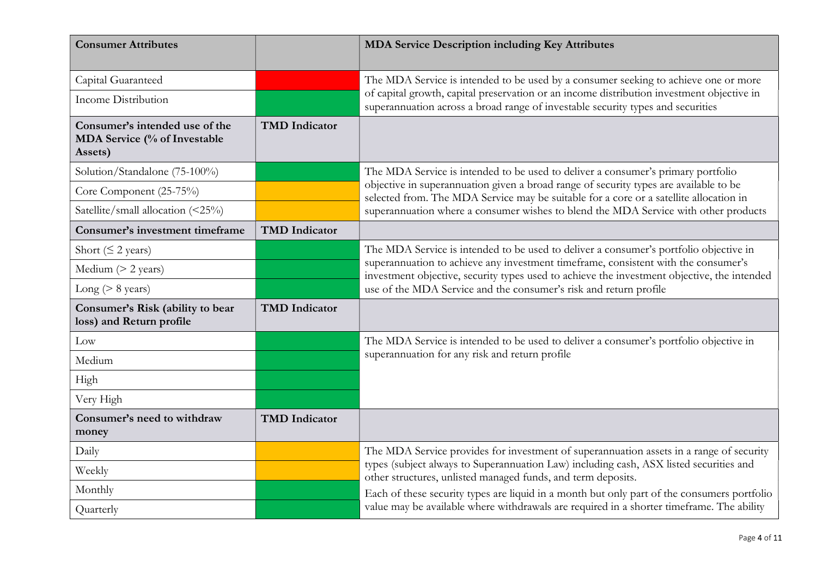| <b>Consumer Attributes</b>                                                |                      | <b>MDA Service Description including Key Attributes</b>                                                                                                                           |
|---------------------------------------------------------------------------|----------------------|-----------------------------------------------------------------------------------------------------------------------------------------------------------------------------------|
| Capital Guaranteed                                                        |                      | The MDA Service is intended to be used by a consumer seeking to achieve one or more                                                                                               |
| <b>Income Distribution</b>                                                |                      | of capital growth, capital preservation or an income distribution investment objective in<br>superannuation across a broad range of investable security types and securities      |
| Consumer's intended use of the<br>MDA Service (% of Investable<br>Assets) | <b>TMD</b> Indicator |                                                                                                                                                                                   |
| Solution/Standalone (75-100%)                                             |                      | The MDA Service is intended to be used to deliver a consumer's primary portfolio                                                                                                  |
| Core Component (25-75%)                                                   |                      | objective in superannuation given a broad range of security types are available to be<br>selected from. The MDA Service may be suitable for a core or a satellite allocation in   |
| Satellite/small allocation (<25%)                                         |                      | superannuation where a consumer wishes to blend the MDA Service with other products                                                                                               |
| <b>Consumer's investment timeframe</b>                                    | <b>TMD</b> Indicator |                                                                                                                                                                                   |
| Short ( $\leq$ 2 years)                                                   |                      | The MDA Service is intended to be used to deliver a consumer's portfolio objective in                                                                                             |
| Medium $(> 2$ years)                                                      |                      | superannuation to achieve any investment timeframe, consistent with the consumer's<br>investment objective, security types used to achieve the investment objective, the intended |
| Long ( $> 8$ years)                                                       |                      | use of the MDA Service and the consumer's risk and return profile                                                                                                                 |
| Consumer's Risk (ability to bear<br>loss) and Return profile              | <b>TMD</b> Indicator |                                                                                                                                                                                   |
| Low                                                                       |                      | The MDA Service is intended to be used to deliver a consumer's portfolio objective in                                                                                             |
| Medium                                                                    |                      | superannuation for any risk and return profile                                                                                                                                    |
| High                                                                      |                      |                                                                                                                                                                                   |
| Very High                                                                 |                      |                                                                                                                                                                                   |
| Consumer's need to withdraw<br>money                                      | <b>TMD</b> Indicator |                                                                                                                                                                                   |
| Daily                                                                     |                      | The MDA Service provides for investment of superannuation assets in a range of security                                                                                           |
| Weekly                                                                    |                      | types (subject always to Superannuation Law) including cash, ASX listed securities and<br>other structures, unlisted managed funds, and term deposits.                            |
| Monthly                                                                   |                      | Each of these security types are liquid in a month but only part of the consumers portfolio                                                                                       |
| Quarterly                                                                 |                      | value may be available where withdrawals are required in a shorter timeframe. The ability                                                                                         |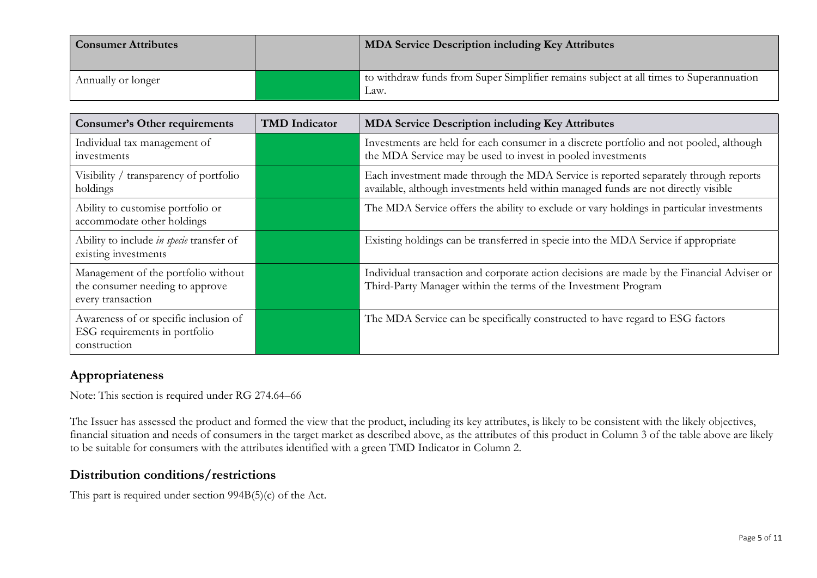| <b>Consumer Attributes</b> | <b>MDA Service Description including Key Attributes</b>                                        |
|----------------------------|------------------------------------------------------------------------------------------------|
| Annually or longer         | to withdraw funds from Super Simplifier remains subject at all times to Superannuation<br>Law. |

| <b>Consumer's Other requirements</b>                                                        | <b>TMD</b> Indicator | <b>MDA Service Description including Key Attributes</b>                                                                                                                   |
|---------------------------------------------------------------------------------------------|----------------------|---------------------------------------------------------------------------------------------------------------------------------------------------------------------------|
| Individual tax management of<br>investments                                                 |                      | Investments are held for each consumer in a discrete portfolio and not pooled, although<br>the MDA Service may be used to invest in pooled investments                    |
| Visibility / transparency of portfolio<br>holdings                                          |                      | Each investment made through the MDA Service is reported separately through reports<br>available, although investments held within managed funds are not directly visible |
| Ability to customise portfolio or<br>accommodate other holdings                             |                      | The MDA Service offers the ability to exclude or vary holdings in particular investments                                                                                  |
| Ability to include in specie transfer of<br>existing investments                            |                      | Existing holdings can be transferred in specie into the MDA Service if appropriate                                                                                        |
| Management of the portfolio without<br>the consumer needing to approve<br>every transaction |                      | Individual transaction and corporate action decisions are made by the Financial Adviser or<br>Third-Party Manager within the terms of the Investment Program              |
| Awareness of or specific inclusion of<br>ESG requirements in portfolio<br>construction      |                      | The MDA Service can be specifically constructed to have regard to ESG factors                                                                                             |

## Appropriateness

Note: This section is required under RG 274.64–66

The Issuer has assessed the product and formed the view that the product, including its key attributes, is likely to be consistent with the likely objectives, financial situation and needs of consumers in the target market as described above, as the attributes of this product in Column 3 of the table above are likely to be suitable for consumers with the attributes identified with a green TMD Indicator in Column 2.

### Distribution conditions/restrictions

This part is required under section 994B(5)(c) of the Act.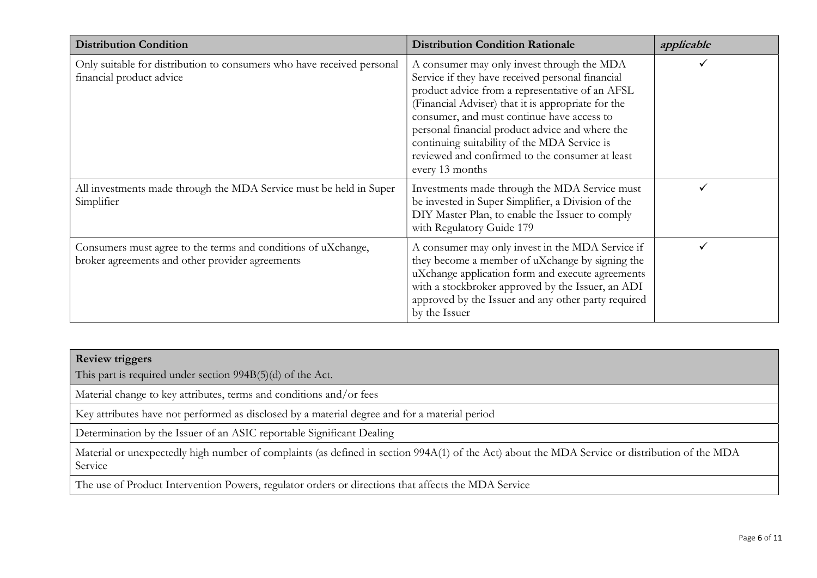| <b>Distribution Condition</b>                                                                                    | <b>Distribution Condition Rationale</b>                                                                                                                                                                                                                                                                                                                                                                                        | applicable |
|------------------------------------------------------------------------------------------------------------------|--------------------------------------------------------------------------------------------------------------------------------------------------------------------------------------------------------------------------------------------------------------------------------------------------------------------------------------------------------------------------------------------------------------------------------|------------|
| Only suitable for distribution to consumers who have received personal<br>financial product advice               | A consumer may only invest through the MDA<br>Service if they have received personal financial<br>product advice from a representative of an AFSL<br>(Financial Adviser) that it is appropriate for the<br>consumer, and must continue have access to<br>personal financial product advice and where the<br>continuing suitability of the MDA Service is<br>reviewed and confirmed to the consumer at least<br>every 13 months |            |
| All investments made through the MDA Service must be held in Super<br>Simplifier                                 | Investments made through the MDA Service must<br>be invested in Super Simplifier, a Division of the<br>DIY Master Plan, to enable the Issuer to comply<br>with Regulatory Guide 179                                                                                                                                                                                                                                            |            |
| Consumers must agree to the terms and conditions of uXchange,<br>broker agreements and other provider agreements | A consumer may only invest in the MDA Service if<br>they become a member of uXchange by signing the<br>uXchange application form and execute agreements<br>with a stockbroker approved by the Issuer, an ADI<br>approved by the Issuer and any other party required<br>by the Issuer                                                                                                                                           |            |

This part is required under section 994B(5)(d) of the Act.

Material change to key attributes, terms and conditions and/or fees

Key attributes have not performed as disclosed by a material degree and for a material period

Determination by the Issuer of an ASIC reportable Significant Dealing

Material or unexpectedly high number of complaints (as defined in section 994A(1) of the Act) about the MDA Service or distribution of the MDA Service

The use of Product Intervention Powers, regulator orders or directions that affects the MDA Service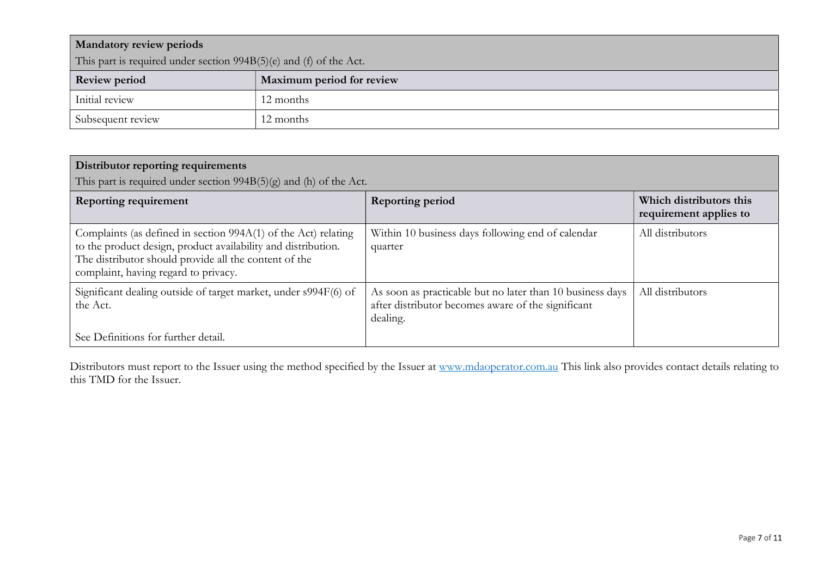| <b>Mandatory review periods</b>                                    |                           |  |
|--------------------------------------------------------------------|---------------------------|--|
| This part is required under section 994B(5)(e) and (f) of the Act. |                           |  |
| <b>Review period</b>                                               | Maximum period for review |  |
| Initial review                                                     | 12 months                 |  |
| Subsequent review                                                  | 12 months                 |  |

| Distributor reporting requirements<br>This part is required under section $994B(5)(g)$ and (h) of the Act.                                                                                                                       |                                                                                                                             |                                                   |
|----------------------------------------------------------------------------------------------------------------------------------------------------------------------------------------------------------------------------------|-----------------------------------------------------------------------------------------------------------------------------|---------------------------------------------------|
| <b>Reporting requirement</b>                                                                                                                                                                                                     | Reporting period                                                                                                            | Which distributors this<br>requirement applies to |
| Complaints (as defined in section 994A(1) of the Act) relating<br>to the product design, product availability and distribution.<br>The distributor should provide all the content of the<br>complaint, having regard to privacy. | Within 10 business days following end of calendar<br>quarter                                                                | All distributors                                  |
| Significant dealing outside of target market, under s994F(6) of<br>the Act.                                                                                                                                                      | As soon as practicable but no later than 10 business days<br>after distributor becomes aware of the significant<br>dealing. | All distributors                                  |
| See Definitions for further detail.                                                                                                                                                                                              |                                                                                                                             |                                                   |

Distributors must report to the Issuer using the method specified by the Issuer at www.mdaoperator.com.au This link also provides contact details relating to this TMD for the Issuer.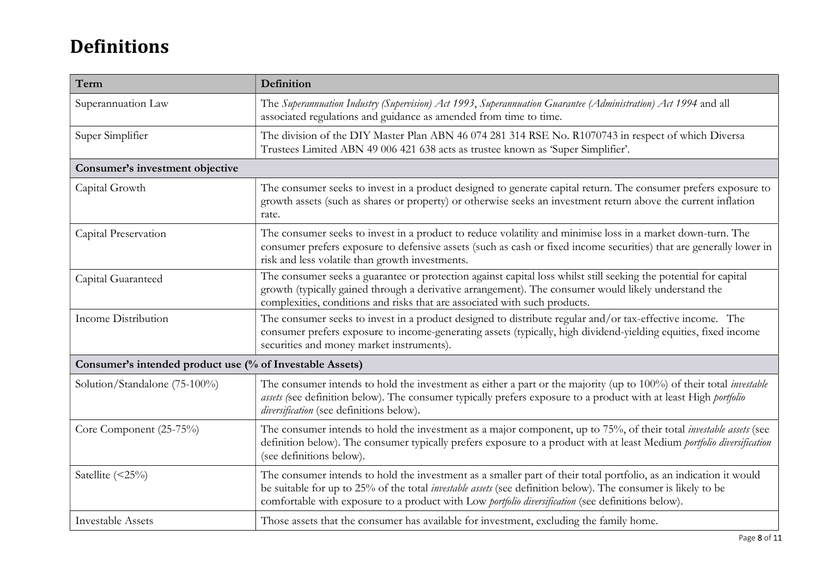# Definitions

| Term                                                     | Definition                                                                                                                                                                                                                                                                                                                                      |  |
|----------------------------------------------------------|-------------------------------------------------------------------------------------------------------------------------------------------------------------------------------------------------------------------------------------------------------------------------------------------------------------------------------------------------|--|
| Superannuation Law                                       | The Superannuation Industry (Supervision) Act 1993, Superannuation Guarantee (Administration) Act 1994 and all<br>associated regulations and guidance as amended from time to time.                                                                                                                                                             |  |
| Super Simplifier                                         | The division of the DIY Master Plan ABN 46 074 281 314 RSE No. R1070743 in respect of which Diversa<br>Trustees Limited ABN 49 006 421 638 acts as trustee known as 'Super Simplifier'.                                                                                                                                                         |  |
| Consumer's investment objective                          |                                                                                                                                                                                                                                                                                                                                                 |  |
| Capital Growth                                           | The consumer seeks to invest in a product designed to generate capital return. The consumer prefers exposure to<br>growth assets (such as shares or property) or otherwise seeks an investment return above the current inflation<br>rate.                                                                                                      |  |
| Capital Preservation                                     | The consumer seeks to invest in a product to reduce volatility and minimise loss in a market down-turn. The<br>consumer prefers exposure to defensive assets (such as cash or fixed income securities) that are generally lower in<br>risk and less volatile than growth investments.                                                           |  |
| Capital Guaranteed                                       | The consumer seeks a guarantee or protection against capital loss whilst still seeking the potential for capital<br>growth (typically gained through a derivative arrangement). The consumer would likely understand the<br>complexities, conditions and risks that are associated with such products.                                          |  |
| Income Distribution                                      | The consumer seeks to invest in a product designed to distribute regular and/or tax-effective income. The<br>consumer prefers exposure to income-generating assets (typically, high dividend-yielding equities, fixed income<br>securities and money market instruments).                                                                       |  |
| Consumer's intended product use (% of Investable Assets) |                                                                                                                                                                                                                                                                                                                                                 |  |
| Solution/Standalone (75-100%)                            | The consumer intends to hold the investment as either a part or the majority (up to 100%) of their total <i>investable</i><br>assets (see definition below). The consumer typically prefers exposure to a product with at least High portfolio<br>diversification (see definitions below).                                                      |  |
| Core Component (25-75%)                                  | The consumer intends to hold the investment as a major component, up to 75%, of their total <i>investable assets</i> (see<br>definition below). The consumer typically prefers exposure to a product with at least Medium portfolio diversification<br>(see definitions below).                                                                 |  |
| Satellite (<25%)                                         | The consumer intends to hold the investment as a smaller part of their total portfolio, as an indication it would<br>be suitable for up to 25% of the total <i>investable assets</i> (see definition below). The consumer is likely to be<br>comfortable with exposure to a product with Low portfolio diversification (see definitions below). |  |
| <b>Investable Assets</b>                                 | Those assets that the consumer has available for investment, excluding the family home.                                                                                                                                                                                                                                                         |  |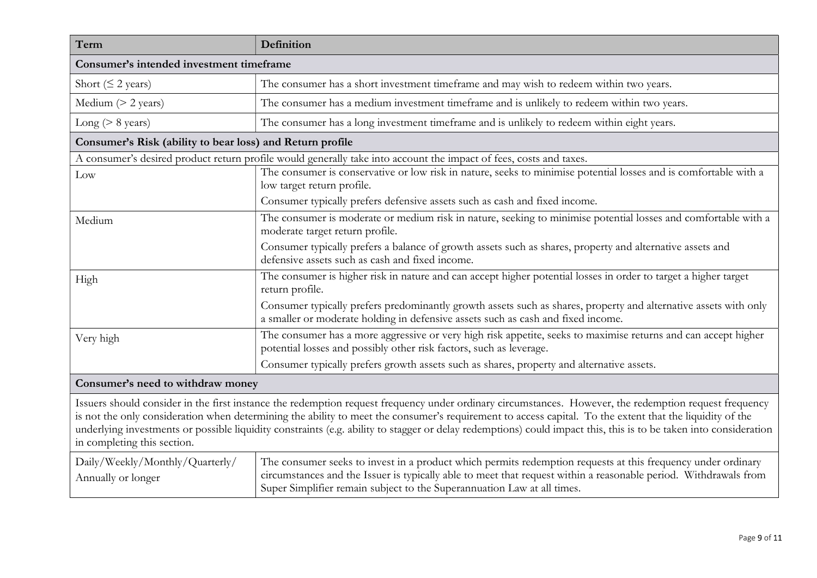| Term                                                                                                                                                                                                                                                                                                                                                                                                                                                                                                                   | Definition                                                                                                                                                                                                                                                                                                  |  |
|------------------------------------------------------------------------------------------------------------------------------------------------------------------------------------------------------------------------------------------------------------------------------------------------------------------------------------------------------------------------------------------------------------------------------------------------------------------------------------------------------------------------|-------------------------------------------------------------------------------------------------------------------------------------------------------------------------------------------------------------------------------------------------------------------------------------------------------------|--|
| Consumer's intended investment timeframe                                                                                                                                                                                                                                                                                                                                                                                                                                                                               |                                                                                                                                                                                                                                                                                                             |  |
| Short ( $\leq$ 2 years)                                                                                                                                                                                                                                                                                                                                                                                                                                                                                                | The consumer has a short investment timeframe and may wish to redeem within two years.                                                                                                                                                                                                                      |  |
| Medium $(> 2$ years)                                                                                                                                                                                                                                                                                                                                                                                                                                                                                                   | The consumer has a medium investment timeframe and is unlikely to redeem within two years.                                                                                                                                                                                                                  |  |
| Long ( $> 8$ years)                                                                                                                                                                                                                                                                                                                                                                                                                                                                                                    | The consumer has a long investment timeframe and is unlikely to redeem within eight years.                                                                                                                                                                                                                  |  |
| Consumer's Risk (ability to bear loss) and Return profile                                                                                                                                                                                                                                                                                                                                                                                                                                                              |                                                                                                                                                                                                                                                                                                             |  |
|                                                                                                                                                                                                                                                                                                                                                                                                                                                                                                                        | A consumer's desired product return profile would generally take into account the impact of fees, costs and taxes.                                                                                                                                                                                          |  |
| Low                                                                                                                                                                                                                                                                                                                                                                                                                                                                                                                    | The consumer is conservative or low risk in nature, seeks to minimise potential losses and is comfortable with a<br>low target return profile.                                                                                                                                                              |  |
|                                                                                                                                                                                                                                                                                                                                                                                                                                                                                                                        | Consumer typically prefers defensive assets such as cash and fixed income.                                                                                                                                                                                                                                  |  |
| Medium                                                                                                                                                                                                                                                                                                                                                                                                                                                                                                                 | The consumer is moderate or medium risk in nature, seeking to minimise potential losses and comfortable with a<br>moderate target return profile.                                                                                                                                                           |  |
|                                                                                                                                                                                                                                                                                                                                                                                                                                                                                                                        | Consumer typically prefers a balance of growth assets such as shares, property and alternative assets and<br>defensive assets such as cash and fixed income.                                                                                                                                                |  |
| High                                                                                                                                                                                                                                                                                                                                                                                                                                                                                                                   | The consumer is higher risk in nature and can accept higher potential losses in order to target a higher target<br>return profile.                                                                                                                                                                          |  |
|                                                                                                                                                                                                                                                                                                                                                                                                                                                                                                                        | Consumer typically prefers predominantly growth assets such as shares, property and alternative assets with only<br>a smaller or moderate holding in defensive assets such as cash and fixed income.                                                                                                        |  |
| Very high                                                                                                                                                                                                                                                                                                                                                                                                                                                                                                              | The consumer has a more aggressive or very high risk appetite, seeks to maximise returns and can accept higher<br>potential losses and possibly other risk factors, such as leverage.                                                                                                                       |  |
|                                                                                                                                                                                                                                                                                                                                                                                                                                                                                                                        | Consumer typically prefers growth assets such as shares, property and alternative assets.                                                                                                                                                                                                                   |  |
| Consumer's need to withdraw money                                                                                                                                                                                                                                                                                                                                                                                                                                                                                      |                                                                                                                                                                                                                                                                                                             |  |
| Issuers should consider in the first instance the redemption request frequency under ordinary circumstances. However, the redemption request frequency<br>is not the only consideration when determining the ability to meet the consumer's requirement to access capital. To the extent that the liquidity of the<br>underlying investments or possible liquidity constraints (e.g. ability to stagger or delay redemptions) could impact this, this is to be taken into consideration<br>in completing this section. |                                                                                                                                                                                                                                                                                                             |  |
| Daily/Weekly/Monthly/Quarterly/<br>Annually or longer                                                                                                                                                                                                                                                                                                                                                                                                                                                                  | The consumer seeks to invest in a product which permits redemption requests at this frequency under ordinary<br>circumstances and the Issuer is typically able to meet that request within a reasonable period. Withdrawals from<br>Super Simplifier remain subject to the Superannuation Law at all times. |  |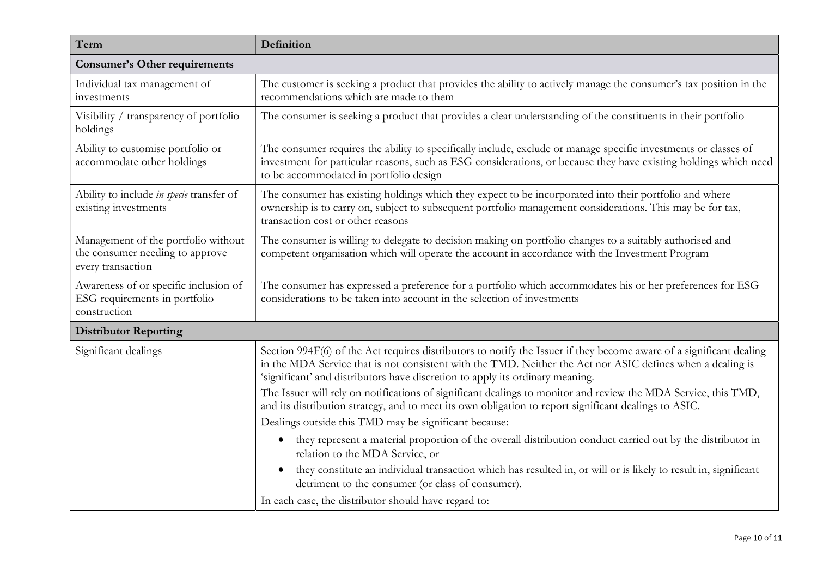| Term                                                                                        | Definition                                                                                                                                                                                                                                                                                                         |  |
|---------------------------------------------------------------------------------------------|--------------------------------------------------------------------------------------------------------------------------------------------------------------------------------------------------------------------------------------------------------------------------------------------------------------------|--|
| <b>Consumer's Other requirements</b>                                                        |                                                                                                                                                                                                                                                                                                                    |  |
| Individual tax management of<br>investments                                                 | The customer is seeking a product that provides the ability to actively manage the consumer's tax position in the<br>recommendations which are made to them                                                                                                                                                        |  |
| Visibility / transparency of portfolio<br>holdings                                          | The consumer is seeking a product that provides a clear understanding of the constituents in their portfolio                                                                                                                                                                                                       |  |
| Ability to customise portfolio or<br>accommodate other holdings                             | The consumer requires the ability to specifically include, exclude or manage specific investments or classes of<br>investment for particular reasons, such as ESG considerations, or because they have existing holdings which need<br>to be accommodated in portfolio design                                      |  |
| Ability to include in specie transfer of<br>existing investments                            | The consumer has existing holdings which they expect to be incorporated into their portfolio and where<br>ownership is to carry on, subject to subsequent portfolio management considerations. This may be for tax,<br>transaction cost or other reasons                                                           |  |
| Management of the portfolio without<br>the consumer needing to approve<br>every transaction | The consumer is willing to delegate to decision making on portfolio changes to a suitably authorised and<br>competent organisation which will operate the account in accordance with the Investment Program                                                                                                        |  |
| Awareness of or specific inclusion of<br>ESG requirements in portfolio<br>construction      | The consumer has expressed a preference for a portfolio which accommodates his or her preferences for ESG<br>considerations to be taken into account in the selection of investments                                                                                                                               |  |
| <b>Distributor Reporting</b>                                                                |                                                                                                                                                                                                                                                                                                                    |  |
| Significant dealings                                                                        | Section 994F(6) of the Act requires distributors to notify the Issuer if they become aware of a significant dealing<br>in the MDA Service that is not consistent with the TMD. Neither the Act nor ASIC defines when a dealing is<br>'significant' and distributors have discretion to apply its ordinary meaning. |  |
|                                                                                             | The Issuer will rely on notifications of significant dealings to monitor and review the MDA Service, this TMD,<br>and its distribution strategy, and to meet its own obligation to report significant dealings to ASIC.                                                                                            |  |
|                                                                                             | Dealings outside this TMD may be significant because:                                                                                                                                                                                                                                                              |  |
|                                                                                             | they represent a material proportion of the overall distribution conduct carried out by the distributor in<br>$\bullet$<br>relation to the MDA Service, or                                                                                                                                                         |  |
|                                                                                             | they constitute an individual transaction which has resulted in, or will or is likely to result in, significant<br>detriment to the consumer (or class of consumer).                                                                                                                                               |  |
|                                                                                             | In each case, the distributor should have regard to:                                                                                                                                                                                                                                                               |  |